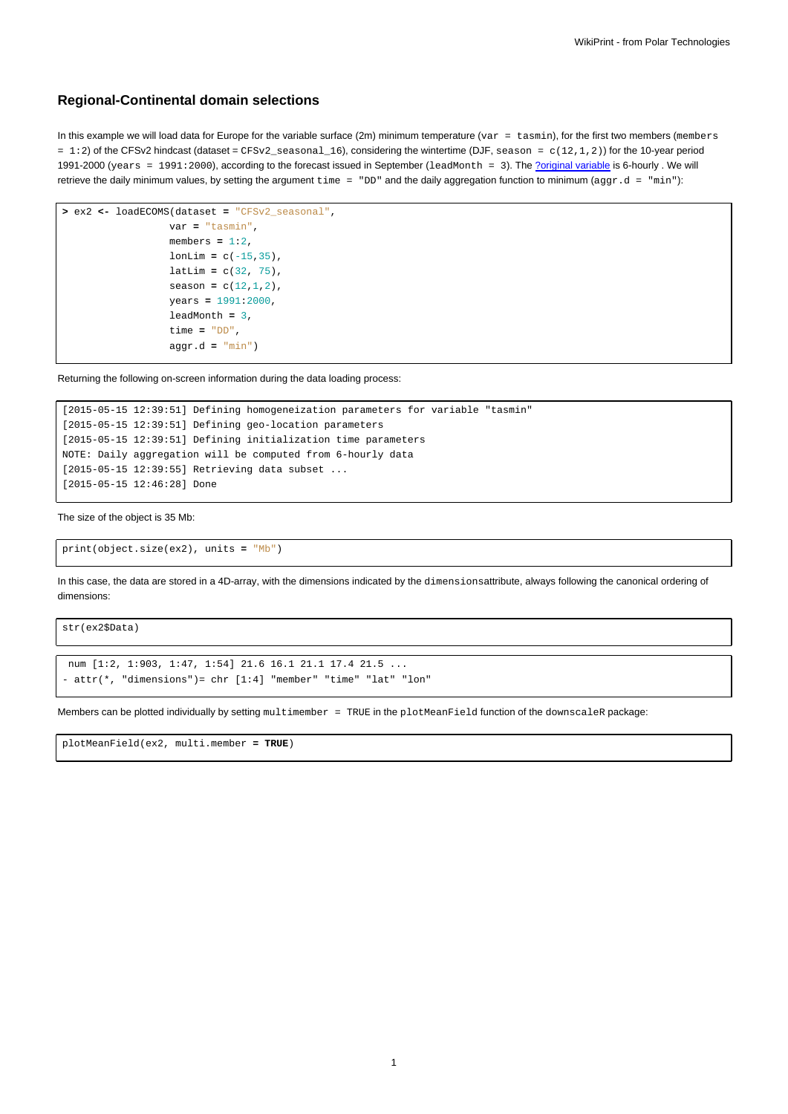## **Regional-Continental domain selections**

In this example we will load data for Europe for the variable surface (2m) minimum temperature (var = tasmin), for the first two members (members = 1:2) of the CFSv2 hindcast (dataset = CFSv2\_seasonal\_16), considering the wintertime (DJF, season = c(12,1,2)) for the 10-year period 1991-2000 (years = 1991:2000), according to the forecast issued in September (1eadMonth = 3). The [?original variable](http://meteo.unican.es/trac/wiki/udg/ecoms/dataserver/listofvariables) is 6-hourly . We will retrieve the daily minimum values, by setting the argument  $\tt time = "DD"$  and the daily aggregation function to minimum ( $\text{aggr.d} = "min"$ ):

```
> ex2 <- loadECOMS(dataset = "CFSv2_seasonal",
                  var = "tasmin",
                  members = 1:2,
                  lonLim = c(-15, 35),
                  latLim = c(32, 75),
                  season = c(12,1,2),
                  years = 1991:2000,
                  leadMonth = 3,
                  time = "DD",
                  aggr.d = "min")
```
Returning the following on-screen information during the data loading process:

```
[2015-05-15 12:39:51] Defining homogeneization parameters for variable "tasmin"
[2015-05-15 12:39:51] Defining geo-location parameters
[2015-05-15 12:39:51] Defining initialization time parameters
NOTE: Daily aggregation will be computed from 6-hourly data
[2015-05-15 12:39:55] Retrieving data subset ...
[2015-05-15 12:46:28] Done
```
The size of the object is 35 Mb:

```
print(object.size(ex2), units = "Mb")
```
In this case, the data are stored in a 4D-array, with the dimensions indicated by the dimensionsattribute, always following the canonical ordering of dimensions:

str(ex2\$Data)

```
num [1:2, 1:903, 1:47, 1:54] 21.6 16.1 21.1 17.4 21.5 ...
- attr(*, "dimensions")= chr [1:4] "member" "time" "lat" "lon"
```
Members can be plotted individually by setting multimember = TRUE in the plotMeanField function of the downscaleR package:

plotMeanField(ex2, multi.member **= TRUE**)